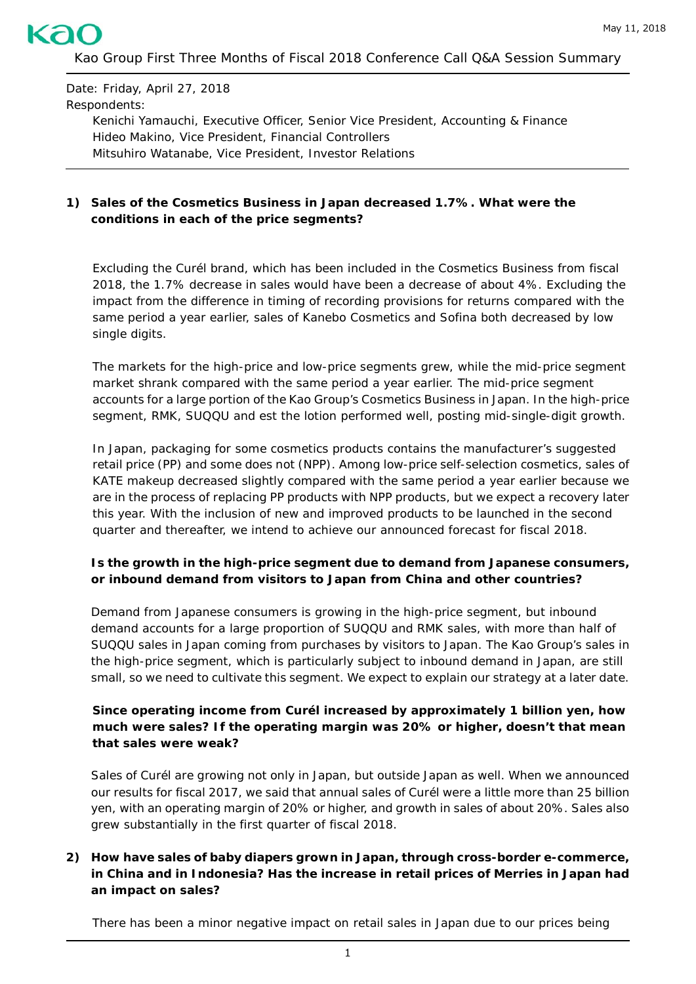

Date: Friday, April 27, 2018 Respondents:

Kenichi Yamauchi, Executive Officer, Senior Vice President, Accounting & Finance Hideo Makino, Vice President, Financial Controllers Mitsuhiro Watanabe, Vice President, Investor Relations

### **1) Sales of the Cosmetics Business in Japan decreased 1.7%. What were the conditions in each of the price segments?**

Excluding the *Curél* brand, which has been included in the Cosmetics Business from fiscal 2018, the 1.7% decrease in sales would have been a decrease of about 4%. Excluding the impact from the difference in timing of recording provisions for returns compared with the same period a year earlier, sales of Kanebo Cosmetics and Sofina both decreased by low single digits.

The markets for the high-price and low-price segments grew, while the mid-price segment market shrank compared with the same period a year earlier. The mid-price segment accounts for a large portion of the Kao Group's Cosmetics Business in Japan. In the high-price segment, *RMK*, *SUQQU* and *est the lotion* performed well, posting mid-single-digit growth.

In Japan, packaging for some cosmetics products contains the manufacturer's suggested retail price (PP) and some does not (NPP). Among low-price self-selection cosmetics, sales of *KATE* makeup decreased slightly compared with the same period a year earlier because we are in the process of replacing PP products with NPP products, but we expect a recovery later this year. With the inclusion of new and improved products to be launched in the second quarter and thereafter, we intend to achieve our announced forecast for fiscal 2018.

### **Is the growth in the high-price segment due to demand from Japanese consumers, or inbound demand from visitors to Japan from China and other countries?**

Demand from Japanese consumers is growing in the high-price segment, but inbound demand accounts for a large proportion of *SUQQU* and *RMK* sales, with more than half of *SUQQU* sales in Japan coming from purchases by visitors to Japan. The Kao Group's sales in the high-price segment, which is particularly subject to inbound demand in Japan, are still small, so we need to cultivate this segment. We expect to explain our strategy at a later date.

### **Since operating income from** *Curél* **increased by approximately 1 billion yen, how much were sales? If the operating margin was 20% or higher, doesn't that mean that sales were weak?**

Sales of *Curél* are growing not only in Japan, but outside Japan as well. When we announced our results for fiscal 2017, we said that annual sales of *Curél* were a little more than 25 billion yen, with an operating margin of 20% or higher, and growth in sales of about 20%. Sales also grew substantially in the first quarter of fiscal 2018.

### **2) How have sales of baby diapers grown in Japan, through cross-border e-commerce, in China and in Indonesia? Has the increase in retail prices of** *Merries* **in Japan had an impact on sales?**

There has been a minor negative impact on retail sales in Japan due to our prices being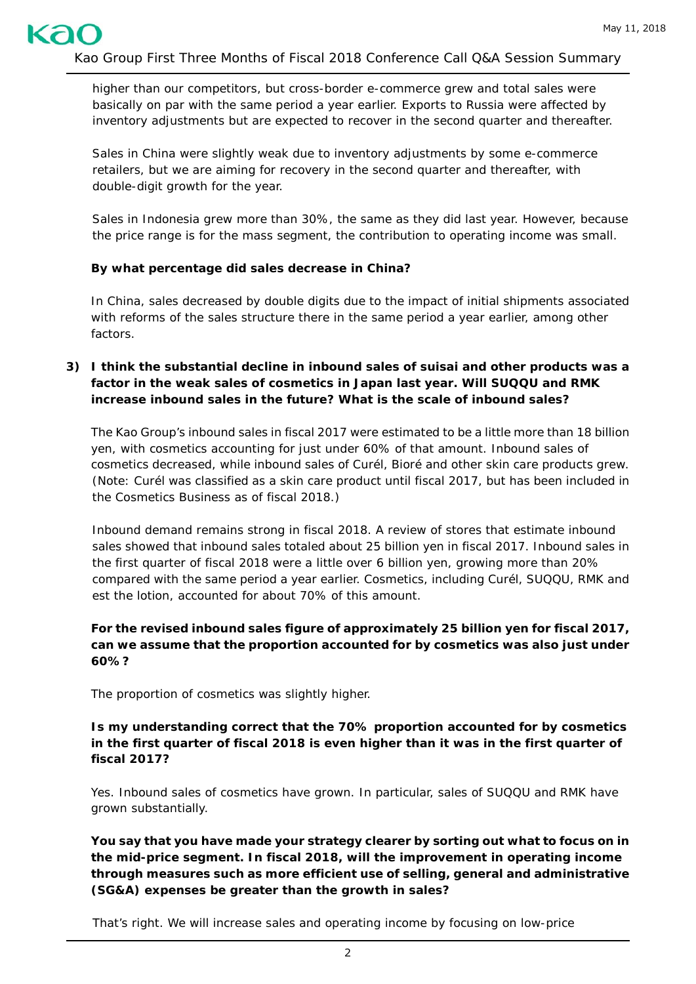higher than our competitors, but cross-border e-commerce grew and total sales were basically on par with the same period a year earlier. Exports to Russia were affected by inventory adjustments but are expected to recover in the second quarter and thereafter.

Sales in China were slightly weak due to inventory adjustments by some e-commerce retailers, but we are aiming for recovery in the second quarter and thereafter, with double-digit growth for the year.

Sales in Indonesia grew more than 30%, the same as they did last year. However, because the price range is for the mass segment, the contribution to operating income was small.

#### **By what percentage did sales decrease in China?**

In China, sales decreased by double digits due to the impact of initial shipments associated with reforms of the sales structure there in the same period a year earlier, among other factors.

**3) I think the substantial decline in inbound sales of** *suisai* **and other products was a factor in the weak sales of cosmetics in Japan last year. Will** *SUQQU* **and** *RMK* **increase inbound sales in the future? What is the scale of inbound sales?**

The Kao Group's inbound sales in fiscal 2017 were estimated to be a little more than 18 billion yen, with cosmetics accounting for just under 60% of that amount. Inbound sales of cosmetics decreased, while inbound sales of *Curél, Bioré* and other skin care products grew. (Note: *Curél* was classified as a skin care product until fiscal 2017, but has been included in the Cosmetics Business as of fiscal 2018.)

Inbound demand remains strong in fiscal 2018. A review of stores that estimate inbound sales showed that inbound sales totaled about 25 billion yen in fiscal 2017. Inbound sales in the first quarter of fiscal 2018 were a little over 6 billion yen, growing more than 20% compared with the same period a year earlier. Cosmetics, including *Curél*, *SUQQU*, *RMK* and *est the lotion*, accounted for about 70% of this amount.

### **For the revised inbound sales figure of approximately 25 billion yen for fiscal 2017, can we assume that the proportion accounted for by cosmetics was also just under 60%?**

The proportion of cosmetics was slightly higher.

**Is my understanding correct that the 70% proportion accounted for by cosmetics in the first quarter of fiscal 2018 is even higher than it was in the first quarter of fiscal 2017?**

Yes. Inbound sales of cosmetics have grown. In particular, sales of *SUQQU* and *RMK* have grown substantially.

**You say that you have made your strategy clearer by sorting out what to focus on in the mid-price segment. In fiscal 2018, will the improvement in operating income through measures such as more efficient use of selling, general and administrative (SG&A) expenses be greater than the growth in sales?**

That's right. We will increase sales and operating income by focusing on low-price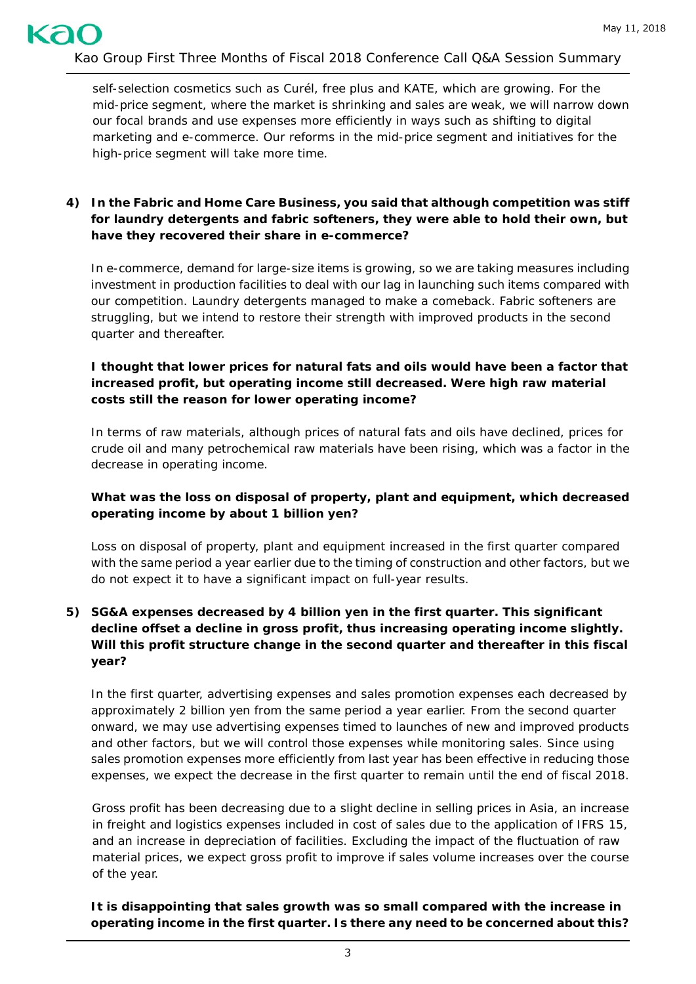self-selection cosmetics such as *Curél, free plus* and *KATE*, which are growing. For the mid-price segment, where the market is shrinking and sales are weak, we will narrow down our focal brands and use expenses more efficiently in ways such as shifting to digital marketing and e-commerce. Our reforms in the mid-price segment and initiatives for the high-price segment will take more time.

# **4) In the Fabric and Home Care Business, you said that although competition was stiff for laundry detergents and fabric softeners, they were able to hold their own, but have they recovered their share in e-commerce?**

In e-commerce, demand for large-size items is growing, so we are taking measures including investment in production facilities to deal with our lag in launching such items compared with our competition. Laundry detergents managed to make a comeback. Fabric softeners are struggling, but we intend to restore their strength with improved products in the second quarter and thereafter.

### **I thought that lower prices for natural fats and oils would have been a factor that increased profit, but operating income still decreased. Were high raw material costs still the reason for lower operating income?**

In terms of raw materials, although prices of natural fats and oils have declined, prices for crude oil and many petrochemical raw materials have been rising, which was a factor in the decrease in operating income.

### **What was the loss on disposal of property, plant and equipment, which decreased operating income by about 1 billion yen?**

Loss on disposal of property, plant and equipment increased in the first quarter compared with the same period a year earlier due to the timing of construction and other factors, but we do not expect it to have a significant impact on full-year results.

# **5) SG&A expenses decreased by 4 billion yen in the first quarter. This significant decline offset a decline in gross profit, thus increasing operating income slightly. Will this profit structure change in the second quarter and thereafter in this fiscal year?**

In the first quarter, advertising expenses and sales promotion expenses each decreased by approximately 2 billion yen from the same period a year earlier. From the second quarter onward, we may use advertising expenses timed to launches of new and improved products and other factors, but we will control those expenses while monitoring sales. Since using sales promotion expenses more efficiently from last year has been effective in reducing those expenses, we expect the decrease in the first quarter to remain until the end of fiscal 2018.

Gross profit has been decreasing due to a slight decline in selling prices in Asia, an increase in freight and logistics expenses included in cost of sales due to the application of IFRS 15, and an increase in depreciation of facilities. Excluding the impact of the fluctuation of raw material prices, we expect gross profit to improve if sales volume increases over the course of the year.

**It is disappointing that sales growth was so small compared with the increase in operating income in the first quarter. Is there any need to be concerned about this?**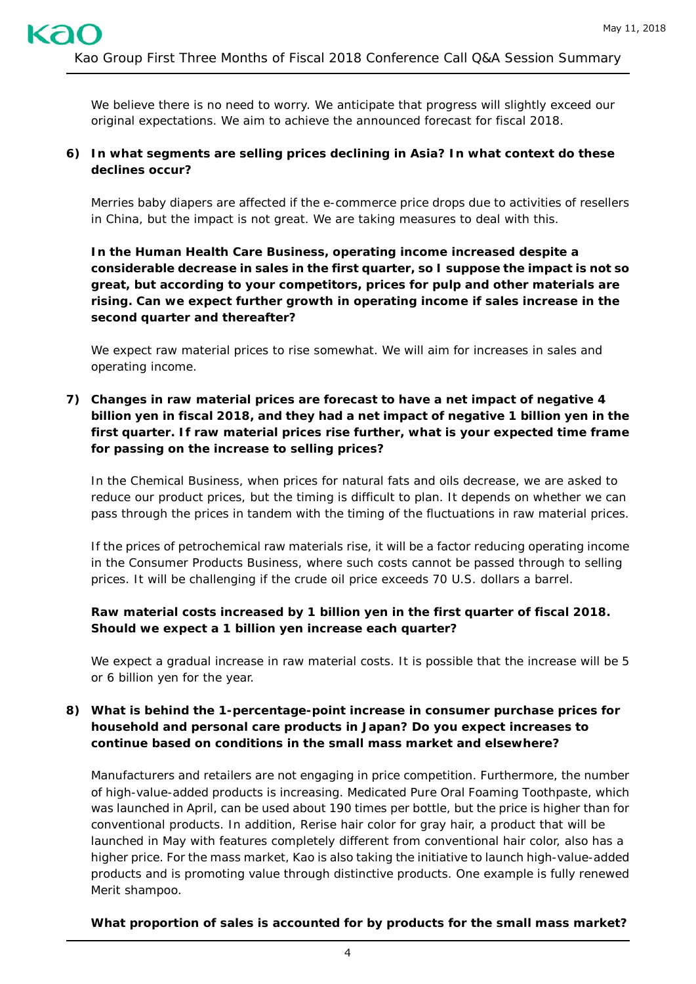We believe there is no need to worry. We anticipate that progress will slightly exceed our original expectations. We aim to achieve the announced forecast for fiscal 2018.

## **6) In what segments are selling prices declining in Asia? In what context do these declines occur?**

*Merries* baby diapers are affected if the e-commerce price drops due to activities of resellers in China, but the impact is not great. We are taking measures to deal with this.

**In the Human Health Care Business, operating income increased despite a considerable decrease in sales in the first quarter, so I suppose the impact is not so great, but according to your competitors, prices for pulp and other materials are rising. Can we expect further growth in operating income if sales increase in the second quarter and thereafter?**

We expect raw material prices to rise somewhat. We will aim for increases in sales and operating income.

**7) Changes in raw material prices are forecast to have a net impact of negative 4 billion yen in fiscal 2018, and they had a net impact of negative 1 billion yen in the first quarter. If raw material prices rise further, what is your expected time frame for passing on the increase to selling prices?** 

In the Chemical Business, when prices for natural fats and oils decrease, we are asked to reduce our product prices, but the timing is difficult to plan. It depends on whether we can pass through the prices in tandem with the timing of the fluctuations in raw material prices.

If the prices of petrochemical raw materials rise, it will be a factor reducing operating income in the Consumer Products Business, where such costs cannot be passed through to selling prices. It will be challenging if the crude oil price exceeds 70 U.S. dollars a barrel.

# **Raw material costs increased by 1 billion yen in the first quarter of fiscal 2018. Should we expect a 1 billion yen increase each quarter?**

We expect a gradual increase in raw material costs. It is possible that the increase will be 5 or 6 billion yen for the year.

## **8) What is behind the 1-percentage-point increase in consumer purchase prices for household and personal care products in Japan? Do you expect increases to continue based on conditions in the small mass market and elsewhere?**

Manufacturers and retailers are not engaging in price competition. Furthermore, the number of high-value-added products is increasing. *Medicated Pure Oral Foaming Toothpaste*, which was launched in April, can be used about 190 times per bottle, but the price is higher than for conventional products. In addition, *Rerise* hair color for gray hair, a product that will be launched in May with features completely different from conventional hair color, also has a higher price. For the mass market, Kao is also taking the initiative to launch high-value-added products and is promoting value through distinctive products. One example is fully renewed *Merit* shampoo.

**What proportion of sales is accounted for by products for the small mass market?**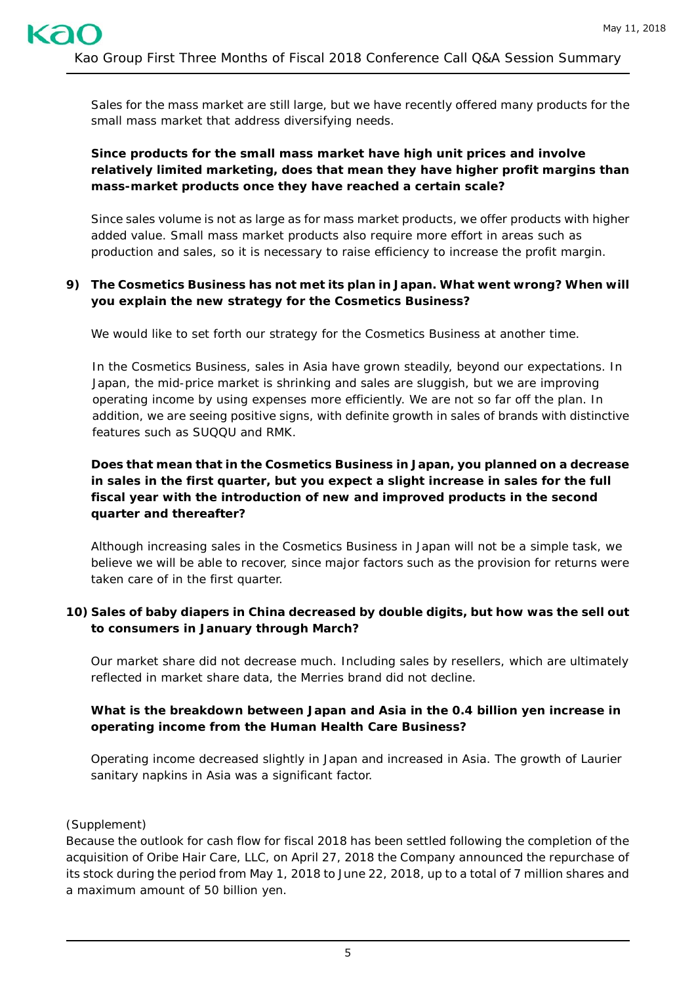Sales for the mass market are still large, but we have recently offered many products for the small mass market that address diversifying needs.

# **Since products for the small mass market have high unit prices and involve relatively limited marketing, does that mean they have higher profit margins than mass-market products once they have reached a certain scale?**

Since sales volume is not as large as for mass market products, we offer products with higher added value. Small mass market products also require more effort in areas such as production and sales, so it is necessary to raise efficiency to increase the profit margin.

## **9) The Cosmetics Business has not met its plan in Japan. What went wrong? When will you explain the new strategy for the Cosmetics Business?**

We would like to set forth our strategy for the Cosmetics Business at another time.

In the Cosmetics Business, sales in Asia have grown steadily, beyond our expectations. In Japan, the mid-price market is shrinking and sales are sluggish, but we are improving operating income by using expenses more efficiently. We are not so far off the plan. In addition, we are seeing positive signs, with definite growth in sales of brands with distinctive features such as *SUQQU* and *RMK*.

# **Does that mean that in the Cosmetics Business in Japan, you planned on a decrease in sales in the first quarter, but you expect a slight increase in sales for the full fiscal year with the introduction of new and improved products in the second quarter and thereafter?**

Although increasing sales in the Cosmetics Business in Japan will not be a simple task, we believe we will be able to recover, since major factors such as the provision for returns were taken care of in the first quarter.

# **10) Sales of baby diapers in China decreased by double digits, but how was the sell out to consumers in January through March?**

Our market share did not decrease much. Including sales by resellers, which are ultimately reflected in market share data, the *Merries* brand did not decline.

# **What is the breakdown between Japan and Asia in the 0.4 billion yen increase in operating income from the Human Health Care Business?**

Operating income decreased slightly in Japan and increased in Asia. The growth of *Laurier* sanitary napkins in Asia was a significant factor.

# (Supplement)

Because the outlook for cash flow for fiscal 2018 has been settled following the completion of the acquisition of Oribe Hair Care, LLC, on April 27, 2018 the Company announced the repurchase of its stock during the period from May 1, 2018 to June 22, 2018, up to a total of 7 million shares and a maximum amount of 50 billion yen.